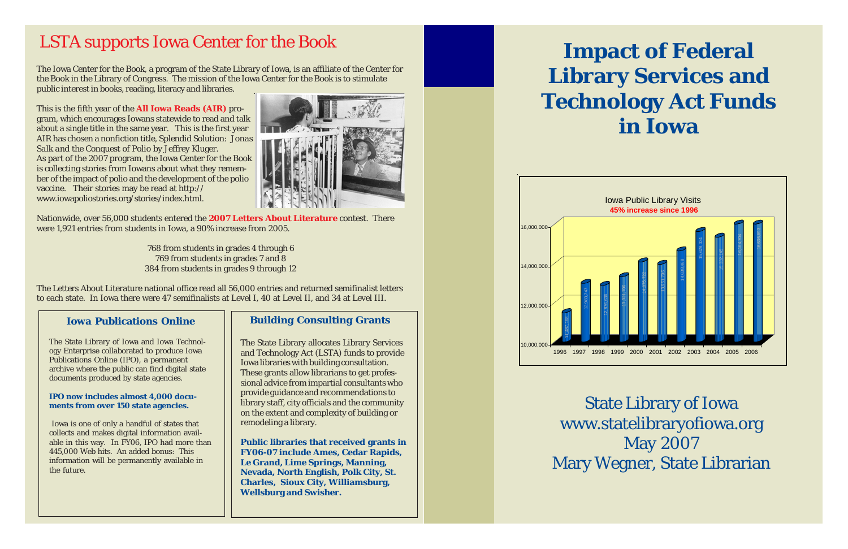# **Impact of Federal Library Services and Technology Act Funds in Iowa**



State Library of Iowa www.statelibraryofiowa.org May 2007 Mary Wegner, State Librarian

The Iowa Center for the Book, a program of the State Library of Iowa, is an affiliate of the Center for the Book in the Library of Congress. The mission of the Iowa Center for the Book is to stimulate public interest in books, reading, literacy and libraries.

This is the fifth year of the **All Iowa Reads (AIR)** program, which encourages Iowans statewide to read and talk about a single title in the same year. This is the first year AIR has chosen a nonfiction title, *Splendid Solution: Jonas Salk and the Conquest of Polio* by Jeffrey Kluger. As part of the 2007 program, the Iowa Center for the Book is collecting stories from Iowans about what they remember of the impact of polio and the development of the polio vaccine. Their stories may be read at http:// www.iowapoliostories.org/stories/index.html.



Nationwide, over 56,000 students entered the **2007 Letters About Literature** contest. There were 1,921 entries from students in Iowa, a 90% increase from 2005.

> 768 from students in grades 4 through 6 769 from students in grades 7 and 8 384 from students in grades 9 through 12

The Letters About Literature national office read all 56,000 entries and returned semifinalist letters to each state. In Iowa there were 47 semifinalists at Level I, 40 at Level II, and 34 at Level III.

## LSTA supports Iowa Center for the Book

## **Iowa Publications Online**

The State Library of Iowa and Iowa Technology Enterprise collaborated to produce Iowa Publications Online (IPO), a permanent archive where the public can find digital state documents produced by state agencies.

### **IPO now includes almost 4,000 documents from over 150 state agencies.**

 Iowa is one of only a handful of states that collects and makes digital information available in this way. In FY06, IPO had more than 445,000 Web hits. An added bonus: This information will be permanently available in the future.

## **Building Consulting Grants**

The State Library allocates Library Services and Technology Act (LSTA) funds to provide Iowa libraries with building consultation. These grants allow librarians to get professional advice from impartial consultants who provide guidance and recommendations to library staff, city officials and the community on the extent and complexity of building or remodeling a library.

**Public libraries that received grants in FY06-07 include Ames, Cedar Rapids, Le Grand, Lime Springs, Manning, Nevada, North English, Polk City, St. Charles, Sioux City, Williamsburg, Wellsburg and Swisher.**